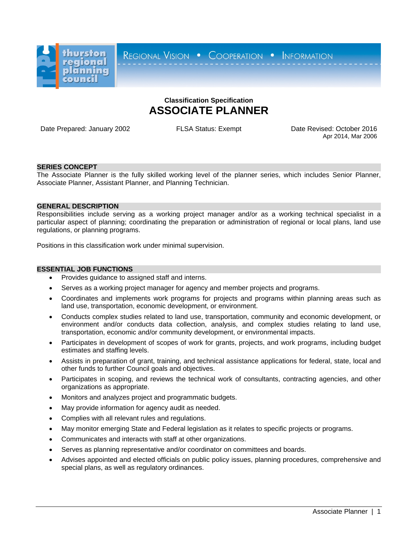

REGIONAL VISION . COOPERATION . INFORMATION

# **Classification Specification ASSOCIATE PLANNER**

Date Prepared: January 2002 FLSA Status: Exempt Date Revised: October 2016

Apr 2014, Mar 2006

# **SERIES CONCEPT**

The Associate Planner is the fully skilled working level of the planner series, which includes Senior Planner, Associate Planner, Assistant Planner, and Planning Technician.

# **GENERAL DESCRIPTION**

Responsibilities include serving as a working project manager and/or as a working technical specialist in a particular aspect of planning; coordinating the preparation or administration of regional or local plans, land use regulations, or planning programs.

Positions in this classification work under minimal supervision.

## **ESSENTIAL JOB FUNCTIONS**

- Provides guidance to assigned staff and interns.
- Serves as a working project manager for agency and member projects and programs.
- Coordinates and implements work programs for projects and programs within planning areas such as land use, transportation, economic development, or environment.
- Conducts complex studies related to land use, transportation, community and economic development, or environment and/or conducts data collection, analysis, and complex studies relating to land use, transportation, economic and/or community development, or environmental impacts.
- Participates in development of scopes of work for grants, projects, and work programs, including budget estimates and staffing levels.
- Assists in preparation of grant, training, and technical assistance applications for federal, state, local and other funds to further Council goals and objectives.
- Participates in scoping, and reviews the technical work of consultants, contracting agencies, and other organizations as appropriate.
- Monitors and analyzes project and programmatic budgets.
- May provide information for agency audit as needed.
- Complies with all relevant rules and regulations.
- May monitor emerging State and Federal legislation as it relates to specific projects or programs.
- Communicates and interacts with staff at other organizations.
- Serves as planning representative and/or coordinator on committees and boards.
- Advises appointed and elected officials on public policy issues, planning procedures, comprehensive and special plans, as well as regulatory ordinances.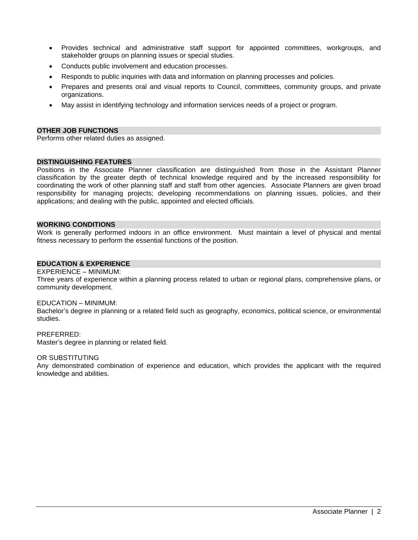- Provides technical and administrative staff support for appointed committees, workgroups, and stakeholder groups on planning issues or special studies.
- Conducts public involvement and education processes.
- Responds to public inquiries with data and information on planning processes and policies.
- Prepares and presents oral and visual reports to Council, committees, community groups, and private organizations.
- May assist in identifying technology and information services needs of a project or program.

## **OTHER JOB FUNCTIONS**

Performs other related duties as assigned.

# **DISTINGUISHING FEATURES**

Positions in the Associate Planner classification are distinguished from those in the Assistant Planner classification by the greater depth of technical knowledge required and by the increased responsibility for coordinating the work of other planning staff and staff from other agencies. Associate Planners are given broad responsibility for managing projects; developing recommendations on planning issues, policies, and their applications; and dealing with the public, appointed and elected officials.

## **WORKING CONDITIONS**

Work is generally performed indoors in an office environment. Must maintain a level of physical and mental fitness necessary to perform the essential functions of the position.

## **EDUCATION & EXPERIENCE**

#### EXPERIENCE – MINIMUM:

Three years of experience within a planning process related to urban or regional plans, comprehensive plans, or community development.

#### EDUCATION – MINIMUM:

Bachelor's degree in planning or a related field such as geography, economics, political science, or environmental studies.

#### PREFERRED:

Master's degree in planning or related field.

#### OR SUBSTITUTING

Any demonstrated combination of experience and education, which provides the applicant with the required knowledge and abilities.